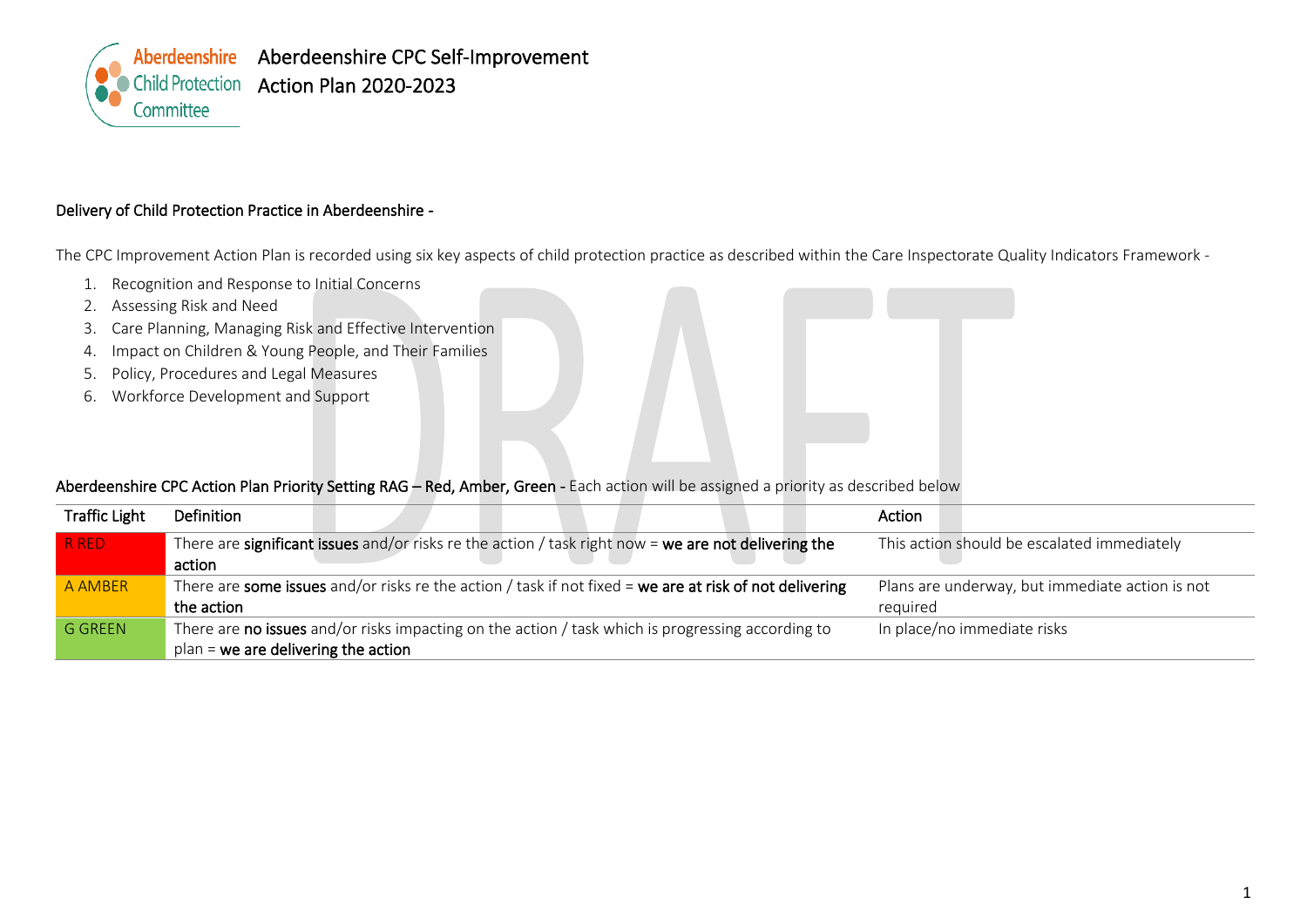

## Delivery of Child Protection Practice in Aberdeenshire *-*

The CPC Improvement Action Plan is recorded using six key aspects of child protection practice as described within the Care Inspectorate Quality Indicators Framework -

- 1. Recognition and Response to Initial Concerns
- 2. Assessing Risk and Need
- 3. Care Planning, Managing Risk and Effective Intervention
- 4. Impact on Children & Young People, and Their Families
- 5. Policy, Procedures and Legal Measures
- 6. Workforce Development and Support

## Aberdeenshire CPC Action Plan Priority Setting RAG – Red, Amber, Green - Each action will be assigned a priority as described below

| <b>Traffic Light</b> | Definition                                                                                              | Action                                          |
|----------------------|---------------------------------------------------------------------------------------------------------|-------------------------------------------------|
| R RED                | There are significant issues and/or risks re the action / task right now = we are not delivering the    | This action should be escalated immediately     |
|                      | action                                                                                                  |                                                 |
| A AMBER              | There are some issues and/or risks re the action / task if not fixed = we are at risk of not delivering | Plans are underway, but immediate action is not |
|                      | the action                                                                                              | required                                        |
| <b>G GREEN</b>       | There are no issues and/or risks impacting on the action / task which is progressing according to       | In place/no immediate risks                     |
|                      | $plan =$ we are delivering the action                                                                   |                                                 |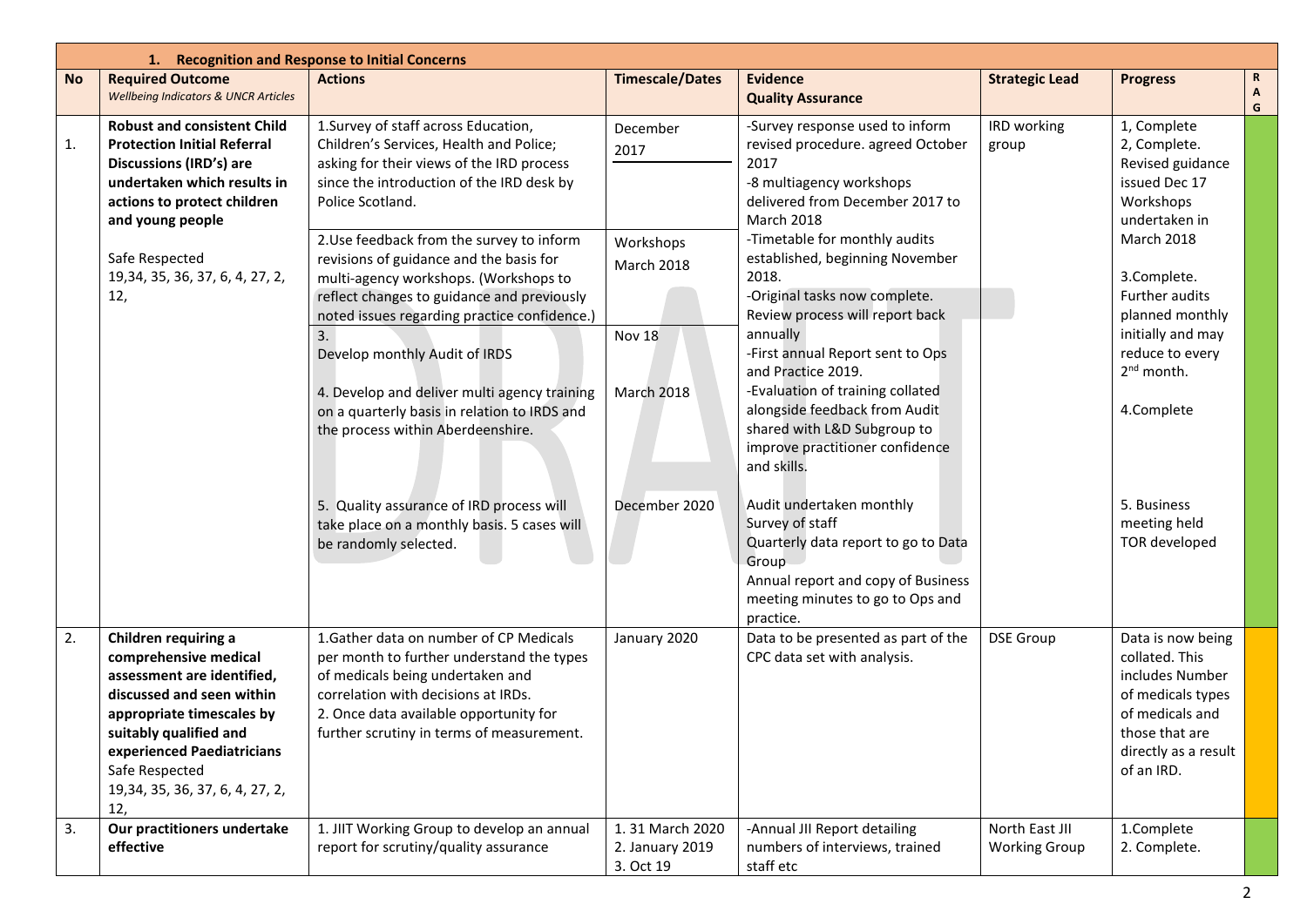|           | 1. Recognition and Response to Initial Concerns                                                                                                                                                                                                            |                                                                                                                                                                                                                                                                                                                                                                                                                                                                                 |                                                 |                                                                                                                                                                                                                                                                                                                                                                           |                                        |                                                                                                                                                        |                   |  |  |
|-----------|------------------------------------------------------------------------------------------------------------------------------------------------------------------------------------------------------------------------------------------------------------|---------------------------------------------------------------------------------------------------------------------------------------------------------------------------------------------------------------------------------------------------------------------------------------------------------------------------------------------------------------------------------------------------------------------------------------------------------------------------------|-------------------------------------------------|---------------------------------------------------------------------------------------------------------------------------------------------------------------------------------------------------------------------------------------------------------------------------------------------------------------------------------------------------------------------------|----------------------------------------|--------------------------------------------------------------------------------------------------------------------------------------------------------|-------------------|--|--|
| <b>No</b> | <b>Required Outcome</b>                                                                                                                                                                                                                                    | <b>Actions</b>                                                                                                                                                                                                                                                                                                                                                                                                                                                                  | <b>Timescale/Dates</b>                          | <b>Evidence</b>                                                                                                                                                                                                                                                                                                                                                           | <b>Strategic Lead</b>                  | <b>Progress</b>                                                                                                                                        | $\mathbf R$       |  |  |
|           | <b>Wellbeing Indicators &amp; UNCR Articles</b>                                                                                                                                                                                                            |                                                                                                                                                                                                                                                                                                                                                                                                                                                                                 |                                                 | <b>Quality Assurance</b>                                                                                                                                                                                                                                                                                                                                                  |                                        |                                                                                                                                                        | $\mathbf{A}$<br>G |  |  |
| 1.        | <b>Robust and consistent Child</b><br><b>Protection Initial Referral</b><br><b>Discussions (IRD's) are</b><br>undertaken which results in<br>actions to protect children<br>and young people                                                               | 1. Survey of staff across Education,<br>Children's Services, Health and Police;<br>asking for their views of the IRD process<br>since the introduction of the IRD desk by<br>Police Scotland.                                                                                                                                                                                                                                                                                   | December<br>2017                                | -Survey response used to inform<br>revised procedure. agreed October<br>2017<br>-8 multiagency workshops<br>delivered from December 2017 to<br>March 2018                                                                                                                                                                                                                 | IRD working<br>group                   | 1, Complete<br>2, Complete.<br>Revised guidance<br>issued Dec 17<br>Workshops<br>undertaken in                                                         |                   |  |  |
|           | Safe Respected<br>19, 34, 35, 36, 37, 6, 4, 27, 2,<br>12,                                                                                                                                                                                                  | 2. Use feedback from the survey to inform<br>Workshops<br>revisions of guidance and the basis for<br><b>March 2018</b><br>multi-agency workshops. (Workshops to<br>reflect changes to guidance and previously<br>noted issues regarding practice confidence.)<br><b>Nov 18</b><br>3.<br>Develop monthly Audit of IRDS<br>4. Develop and deliver multi agency training<br><b>March 2018</b><br>on a quarterly basis in relation to IRDS and<br>the process within Aberdeenshire. |                                                 | -Timetable for monthly audits<br>established, beginning November<br>2018.<br>-Original tasks now complete.<br>Review process will report back<br>annually<br>-First annual Report sent to Ops<br>and Practice 2019.<br>-Evaluation of training collated<br>alongside feedback from Audit<br>shared with L&D Subgroup to<br>improve practitioner confidence<br>and skills. |                                        | <b>March 2018</b><br>3.Complete.<br>Further audits<br>planned monthly<br>initially and may<br>reduce to every<br>2 <sup>nd</sup> month.<br>4.Complete  |                   |  |  |
|           |                                                                                                                                                                                                                                                            | 5. Quality assurance of IRD process will<br>take place on a monthly basis. 5 cases will<br>be randomly selected.                                                                                                                                                                                                                                                                                                                                                                | December 2020                                   | Audit undertaken monthly<br>Survey of staff<br>Quarterly data report to go to Data<br>Group<br>Annual report and copy of Business<br>meeting minutes to go to Ops and<br>practice.                                                                                                                                                                                        |                                        | 5. Business<br>meeting held<br>TOR developed                                                                                                           |                   |  |  |
| 2.        | Children requiring a<br>comprehensive medical<br>assessment are identified,<br>discussed and seen within<br>appropriate timescales by<br>suitably qualified and<br>experienced Paediatricians<br>Safe Respected<br>19, 34, 35, 36, 37, 6, 4, 27, 2,<br>12, | 1. Gather data on number of CP Medicals<br>per month to further understand the types<br>of medicals being undertaken and<br>correlation with decisions at IRDs.<br>2. Once data available opportunity for<br>further scrutiny in terms of measurement.                                                                                                                                                                                                                          | January 2020                                    | Data to be presented as part of the<br>CPC data set with analysis.                                                                                                                                                                                                                                                                                                        | <b>DSE Group</b>                       | Data is now being<br>collated. This<br>includes Number<br>of medicals types<br>of medicals and<br>those that are<br>directly as a result<br>of an IRD. |                   |  |  |
| 3.        | Our practitioners undertake<br>effective                                                                                                                                                                                                                   | 1. JIIT Working Group to develop an annual<br>report for scrutiny/quality assurance                                                                                                                                                                                                                                                                                                                                                                                             | 1.31 March 2020<br>2. January 2019<br>3. Oct 19 | -Annual JII Report detailing<br>numbers of interviews, trained<br>staff etc                                                                                                                                                                                                                                                                                               | North East JII<br><b>Working Group</b> | 1.Complete<br>2. Complete.                                                                                                                             |                   |  |  |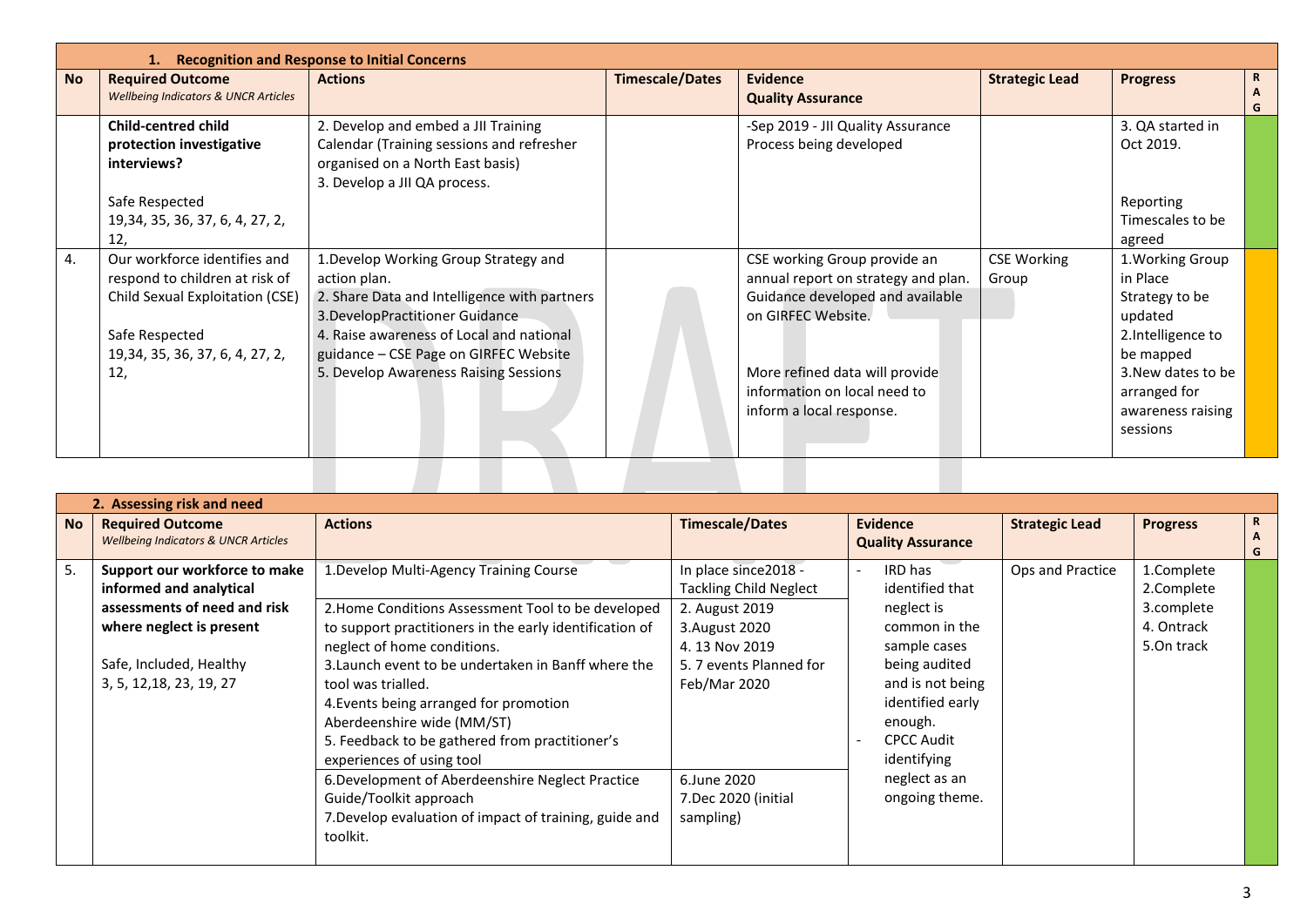|           | <b>Recognition and Response to Initial Concerns</b>                                                                                                            |                                                                                                                                                                                                                                                                         |                        |                                                                                                                                                                                                                             |                             |                                                                                                                                                                    |                   |  |  |  |
|-----------|----------------------------------------------------------------------------------------------------------------------------------------------------------------|-------------------------------------------------------------------------------------------------------------------------------------------------------------------------------------------------------------------------------------------------------------------------|------------------------|-----------------------------------------------------------------------------------------------------------------------------------------------------------------------------------------------------------------------------|-----------------------------|--------------------------------------------------------------------------------------------------------------------------------------------------------------------|-------------------|--|--|--|
| <b>No</b> | <b>Required Outcome</b><br><b>Wellbeing Indicators &amp; UNCR Articles</b>                                                                                     | <b>Actions</b>                                                                                                                                                                                                                                                          | <b>Timescale/Dates</b> | <b>Evidence</b><br><b>Quality Assurance</b>                                                                                                                                                                                 | <b>Strategic Lead</b>       | <b>Progress</b>                                                                                                                                                    | $\mathbf{R}$<br>G |  |  |  |
|           | <b>Child-centred child</b><br>protection investigative<br>interviews?                                                                                          | 2. Develop and embed a JII Training<br>Calendar (Training sessions and refresher<br>organised on a North East basis)<br>3. Develop a JII QA process.                                                                                                                    |                        | -Sep 2019 - JII Quality Assurance<br>Process being developed                                                                                                                                                                |                             | 3. QA started in<br>Oct 2019.                                                                                                                                      |                   |  |  |  |
|           | Safe Respected<br>19, 34, 35, 36, 37, 6, 4, 27, 2,<br>12,                                                                                                      |                                                                                                                                                                                                                                                                         |                        |                                                                                                                                                                                                                             |                             | Reporting<br>Timescales to be<br>agreed                                                                                                                            |                   |  |  |  |
| 4.        | Our workforce identifies and<br>respond to children at risk of<br>Child Sexual Exploitation (CSE)<br>Safe Respected<br>19, 34, 35, 36, 37, 6, 4, 27, 2,<br>12, | 1. Develop Working Group Strategy and<br>action plan.<br>2. Share Data and Intelligence with partners<br>3. Develop Practitioner Guidance<br>4. Raise awareness of Local and national<br>guidance - CSE Page on GIRFEC Website<br>5. Develop Awareness Raising Sessions |                        | CSE working Group provide an<br>annual report on strategy and plan.<br>Guidance developed and available<br>on GIRFEC Website.<br>More refined data will provide<br>information on local need to<br>inform a local response. | <b>CSE Working</b><br>Group | 1. Working Group<br>in Place<br>Strategy to be<br>updated<br>2.Intelligence to<br>be mapped<br>3. New dates to be<br>arranged for<br>awareness raising<br>sessions |                   |  |  |  |
|           |                                                                                                                                                                |                                                                                                                                                                                                                                                                         |                        |                                                                                                                                                                                                                             |                             |                                                                                                                                                                    |                   |  |  |  |

|           | 2. Assessing risk and need                                                                                                                                                  |                                                                                                                                                                                                                                                                                                                                                                                                                                                                                                                                                                                 |                                                                                                                                                                                                           |                                                                                                                                                                                                                      |                       |                                                                    |             |  |  |
|-----------|-----------------------------------------------------------------------------------------------------------------------------------------------------------------------------|---------------------------------------------------------------------------------------------------------------------------------------------------------------------------------------------------------------------------------------------------------------------------------------------------------------------------------------------------------------------------------------------------------------------------------------------------------------------------------------------------------------------------------------------------------------------------------|-----------------------------------------------------------------------------------------------------------------------------------------------------------------------------------------------------------|----------------------------------------------------------------------------------------------------------------------------------------------------------------------------------------------------------------------|-----------------------|--------------------------------------------------------------------|-------------|--|--|
| <b>No</b> | <b>Required Outcome</b><br><b>Wellbeing Indicators &amp; UNCR Articles</b>                                                                                                  | <b>Actions</b>                                                                                                                                                                                                                                                                                                                                                                                                                                                                                                                                                                  | <b>Timescale/Dates</b>                                                                                                                                                                                    | <b>Evidence</b><br><b>Quality Assurance</b>                                                                                                                                                                          | <b>Strategic Lead</b> | <b>Progress</b>                                                    | R<br>A<br>G |  |  |
| 5.        | Support our workforce to make<br>informed and analytical<br>assessments of need and risk<br>where neglect is present<br>Safe, Included, Healthy<br>3, 5, 12, 18, 23, 19, 27 | 1. Develop Multi-Agency Training Course<br>2. Home Conditions Assessment Tool to be developed<br>to support practitioners in the early identification of<br>neglect of home conditions.<br>3. Launch event to be undertaken in Banff where the<br>tool was trialled.<br>4. Events being arranged for promotion<br>Aberdeenshire wide (MM/ST)<br>5. Feedback to be gathered from practitioner's<br>experiences of using tool<br>6. Development of Aberdeenshire Neglect Practice<br>Guide/Toolkit approach<br>7. Develop evaluation of impact of training, guide and<br>toolkit. | In place since 2018 -<br><b>Tackling Child Neglect</b><br>2. August 2019<br>3. August 2020<br>4.13 Nov 2019<br>5. 7 events Planned for<br>Feb/Mar 2020<br>6.June 2020<br>7.Dec 2020 (initial<br>sampling) | IRD has<br>identified that<br>neglect is<br>common in the<br>sample cases<br>being audited<br>and is not being<br>identified early<br>enough.<br><b>CPCC Audit</b><br>identifying<br>neglect as an<br>ongoing theme. | Ops and Practice      | 1.Complete<br>2.Complete<br>3.complete<br>4. Ontrack<br>5.On track |             |  |  |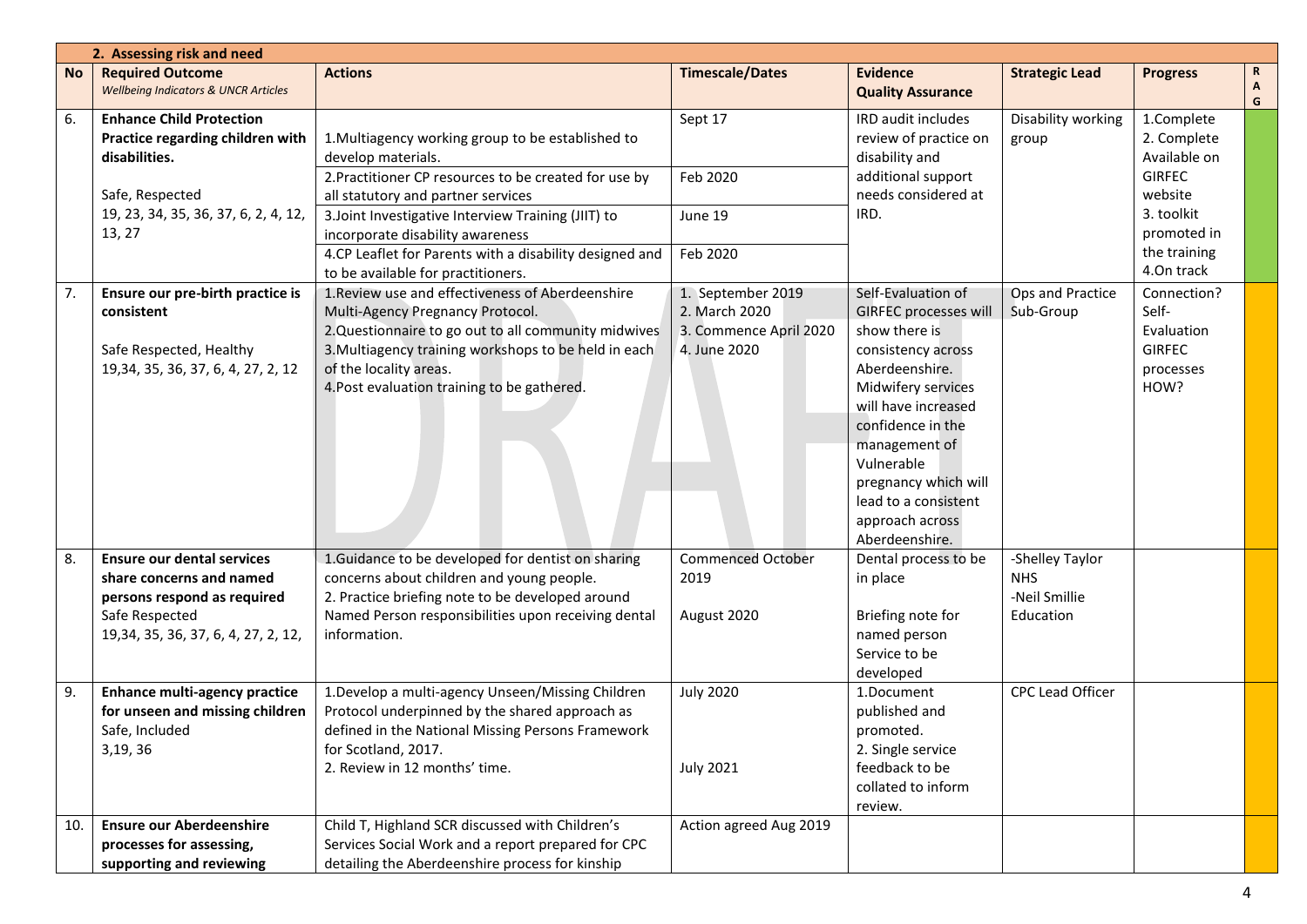|           | 2. Assessing risk and need                                                                                                                             |                                                                                                                                                                                                                                                                               |                                                                              |                                                                                                                                                                                                                                                                                                   |                                                             |                                                                          |        |  |
|-----------|--------------------------------------------------------------------------------------------------------------------------------------------------------|-------------------------------------------------------------------------------------------------------------------------------------------------------------------------------------------------------------------------------------------------------------------------------|------------------------------------------------------------------------------|---------------------------------------------------------------------------------------------------------------------------------------------------------------------------------------------------------------------------------------------------------------------------------------------------|-------------------------------------------------------------|--------------------------------------------------------------------------|--------|--|
| <b>No</b> | <b>Required Outcome</b><br><b>Wellbeing Indicators &amp; UNCR Articles</b>                                                                             | <b>Actions</b>                                                                                                                                                                                                                                                                | <b>Timescale/Dates</b>                                                       | <b>Evidence</b><br><b>Quality Assurance</b>                                                                                                                                                                                                                                                       | <b>Strategic Lead</b>                                       | <b>Progress</b>                                                          | R<br>G |  |
| 6.        | <b>Enhance Child Protection</b><br>Practice regarding children with<br>disabilities.                                                                   | 1. Multiagency working group to be established to<br>develop materials.<br>2. Practitioner CP resources to be created for use by                                                                                                                                              | Sept 17<br>Feb 2020                                                          | <b>IRD audit includes</b><br>review of practice on<br>disability and<br>additional support                                                                                                                                                                                                        | Disability working<br>group                                 | 1.Complete<br>2. Complete<br>Available on<br><b>GIRFEC</b>               |        |  |
|           | Safe, Respected<br>19, 23, 34, 35, 36, 37, 6, 2, 4, 12,<br>13, 27                                                                                      | all statutory and partner services<br>3. Joint Investigative Interview Training (JIIT) to<br>incorporate disability awareness<br>4.CP Leaflet for Parents with a disability designed and                                                                                      | June 19<br>Feb 2020                                                          | needs considered at<br>IRD.                                                                                                                                                                                                                                                                       |                                                             | website<br>3. toolkit<br>promoted in<br>the training                     |        |  |
|           |                                                                                                                                                        | to be available for practitioners.                                                                                                                                                                                                                                            |                                                                              |                                                                                                                                                                                                                                                                                                   |                                                             | 4.On track                                                               |        |  |
| 7.        | Ensure our pre-birth practice is<br>consistent<br>Safe Respected, Healthy<br>19, 34, 35, 36, 37, 6, 4, 27, 2, 12                                       | 1. Review use and effectiveness of Aberdeenshire<br>Multi-Agency Pregnancy Protocol.<br>2. Questionnaire to go out to all community midwives<br>3. Multiagency training workshops to be held in each<br>of the locality areas.<br>4. Post evaluation training to be gathered. | 1. September 2019<br>2. March 2020<br>3. Commence April 2020<br>4. June 2020 | Self-Evaluation of<br><b>GIRFEC processes will</b><br>show there is<br>consistency across<br>Aberdeenshire.<br>Midwifery services<br>will have increased<br>confidence in the<br>management of<br>Vulnerable<br>pregnancy which will<br>lead to a consistent<br>approach across<br>Aberdeenshire. | Ops and Practice<br>Sub-Group                               | Connection?<br>Self-<br>Evaluation<br><b>GIRFEC</b><br>processes<br>HOW? |        |  |
| 8.        | <b>Ensure our dental services</b><br>share concerns and named<br>persons respond as required<br>Safe Respected<br>19, 34, 35, 36, 37, 6, 4, 27, 2, 12, | 1. Guidance to be developed for dentist on sharing<br>concerns about children and young people.<br>2. Practice briefing note to be developed around<br>Named Person responsibilities upon receiving dental<br>information.                                                    | <b>Commenced October</b><br>2019<br>August 2020                              | Dental process to be<br>in place<br>Briefing note for<br>named person<br>Service to be<br>developed                                                                                                                                                                                               | -Shelley Taylor<br><b>NHS</b><br>-Neil Smillie<br>Education |                                                                          |        |  |
| 9.        | <b>Enhance multi-agency practice</b><br>for unseen and missing children<br>Safe, Included<br>3,19,36                                                   | 1. Develop a multi-agency Unseen/Missing Children<br>Protocol underpinned by the shared approach as<br>defined in the National Missing Persons Framework<br>for Scotland, 2017.<br>2. Review in 12 months' time.                                                              | <b>July 2020</b><br><b>July 2021</b>                                         | 1.Document<br>published and<br>promoted.<br>2. Single service<br>feedback to be<br>collated to inform<br>review.                                                                                                                                                                                  | CPC Lead Officer                                            |                                                                          |        |  |
| 10.       | <b>Ensure our Aberdeenshire</b><br>processes for assessing,<br>supporting and reviewing                                                                | Child T, Highland SCR discussed with Children's<br>Services Social Work and a report prepared for CPC<br>detailing the Aberdeenshire process for kinship                                                                                                                      | Action agreed Aug 2019                                                       |                                                                                                                                                                                                                                                                                                   |                                                             |                                                                          |        |  |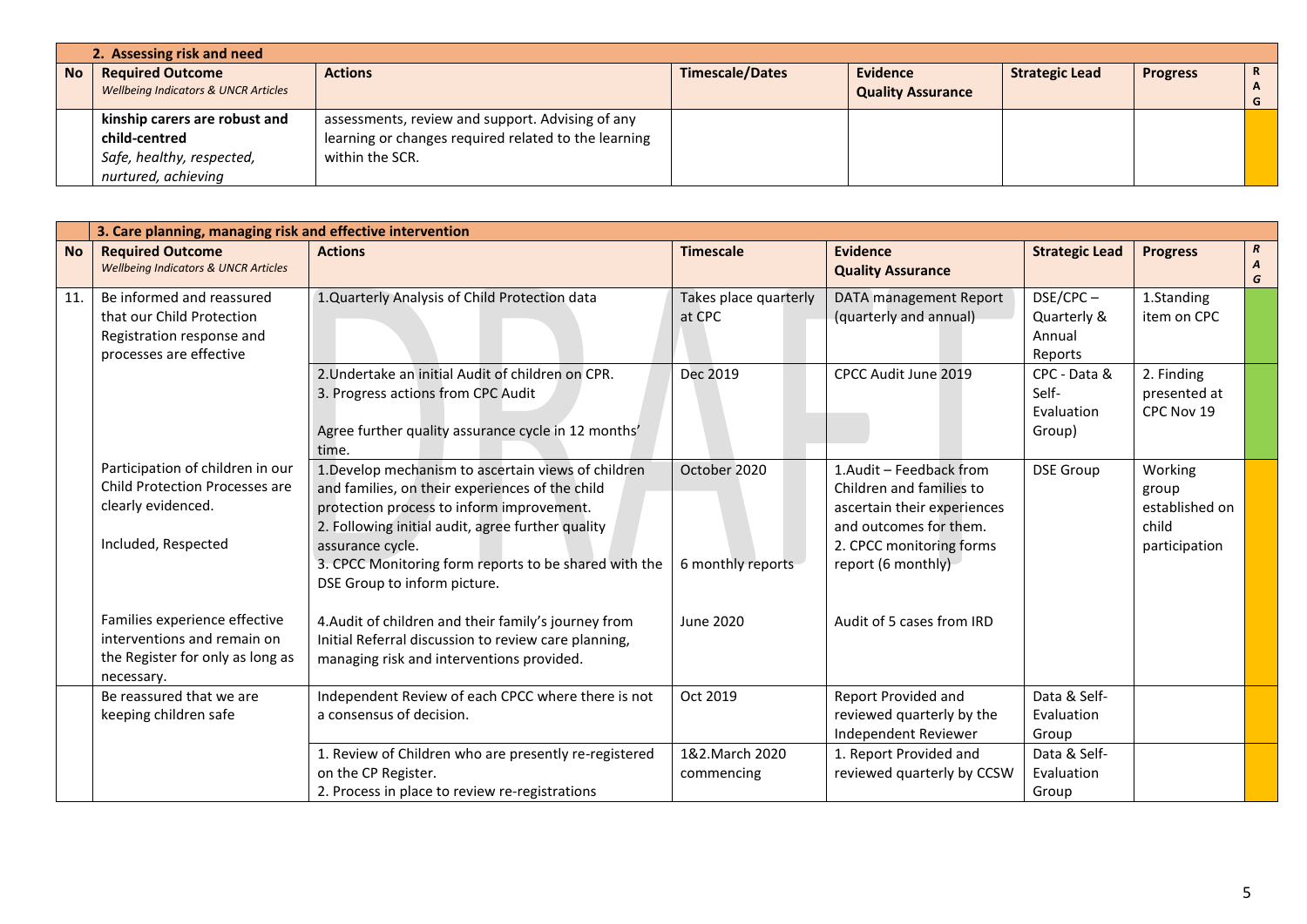|           | 2. Assessing risk and need                                                 |                                                      |                        |                                             |                       |                 |   |  |  |
|-----------|----------------------------------------------------------------------------|------------------------------------------------------|------------------------|---------------------------------------------|-----------------------|-----------------|---|--|--|
| <b>No</b> | <b>Required Outcome</b><br><b>Wellbeing Indicators &amp; UNCR Articles</b> | <b>Actions</b>                                       | <b>Timescale/Dates</b> | <b>Evidence</b><br><b>Quality Assurance</b> | <b>Strategic Lead</b> | <b>Progress</b> | R |  |  |
|           |                                                                            |                                                      |                        |                                             |                       |                 |   |  |  |
|           | kinship carers are robust and                                              | assessments, review and support. Advising of any     |                        |                                             |                       |                 |   |  |  |
|           | child-centred                                                              | learning or changes required related to the learning |                        |                                             |                       |                 |   |  |  |
|           | Safe, healthy, respected,                                                  | within the SCR.                                      |                        |                                             |                       |                 |   |  |  |
|           | nurtured, achieving                                                        |                                                      |                        |                                             |                       |                 |   |  |  |

|           | 3. Care planning, managing risk and effective intervention                                                             |                                                                                                                                                                                                                                                                                                                       |                                   |                                                                                                                                                                |                                                |                                                              |                       |  |
|-----------|------------------------------------------------------------------------------------------------------------------------|-----------------------------------------------------------------------------------------------------------------------------------------------------------------------------------------------------------------------------------------------------------------------------------------------------------------------|-----------------------------------|----------------------------------------------------------------------------------------------------------------------------------------------------------------|------------------------------------------------|--------------------------------------------------------------|-----------------------|--|
| <b>No</b> | <b>Required Outcome</b><br><b>Wellbeing Indicators &amp; UNCR Articles</b>                                             | <b>Actions</b>                                                                                                                                                                                                                                                                                                        | <b>Timescale</b>                  | <b>Evidence</b><br><b>Quality Assurance</b>                                                                                                                    | <b>Strategic Lead</b>                          | <b>Progress</b>                                              | $\boldsymbol{R}$<br>G |  |
| 11.       | Be informed and reassured<br>that our Child Protection<br>Registration response and<br>processes are effective         | 1.Quarterly Analysis of Child Protection data                                                                                                                                                                                                                                                                         | Takes place quarterly<br>at CPC   | DATA management Report<br>(quarterly and annual)                                                                                                               | $DSE/CPC-$<br>Quarterly &<br>Annual<br>Reports | 1.Standing<br>item on CPC                                    |                       |  |
|           |                                                                                                                        | 2. Undertake an initial Audit of children on CPR.<br>3. Progress actions from CPC Audit<br>Agree further quality assurance cycle in 12 months'<br>time.                                                                                                                                                               | Dec 2019                          | CPCC Audit June 2019                                                                                                                                           | CPC - Data &<br>Self-<br>Evaluation<br>Group)  | 2. Finding<br>presented at<br>CPC Nov 19                     |                       |  |
|           | Participation of children in our<br><b>Child Protection Processes are</b><br>clearly evidenced.<br>Included, Respected | 1. Develop mechanism to ascertain views of children<br>and families, on their experiences of the child<br>protection process to inform improvement.<br>2. Following initial audit, agree further quality<br>assurance cycle.<br>3. CPCC Monitoring form reports to be shared with the<br>DSE Group to inform picture. | October 2020<br>6 monthly reports | 1.Audit - Feedback from<br>Children and families to<br>ascertain their experiences<br>and outcomes for them.<br>2. CPCC monitoring forms<br>report (6 monthly) | <b>DSE Group</b>                               | Working<br>group<br>established on<br>child<br>participation |                       |  |
|           | Families experience effective<br>interventions and remain on<br>the Register for only as long as<br>necessary.         | 4. Audit of children and their family's journey from<br>Initial Referral discussion to review care planning,<br>managing risk and interventions provided.                                                                                                                                                             | June 2020                         | Audit of 5 cases from IRD                                                                                                                                      |                                                |                                                              |                       |  |
|           | Be reassured that we are<br>keeping children safe                                                                      | Independent Review of each CPCC where there is not<br>a consensus of decision.                                                                                                                                                                                                                                        | Oct 2019                          | Report Provided and<br>reviewed quarterly by the<br>Independent Reviewer                                                                                       | Data & Self-<br>Evaluation<br>Group            |                                                              |                       |  |
|           |                                                                                                                        | 1. Review of Children who are presently re-registered<br>on the CP Register.<br>2. Process in place to review re-registrations                                                                                                                                                                                        | 1&2. March 2020<br>commencing     | 1. Report Provided and<br>reviewed quarterly by CCSW                                                                                                           | Data & Self-<br>Evaluation<br>Group            |                                                              |                       |  |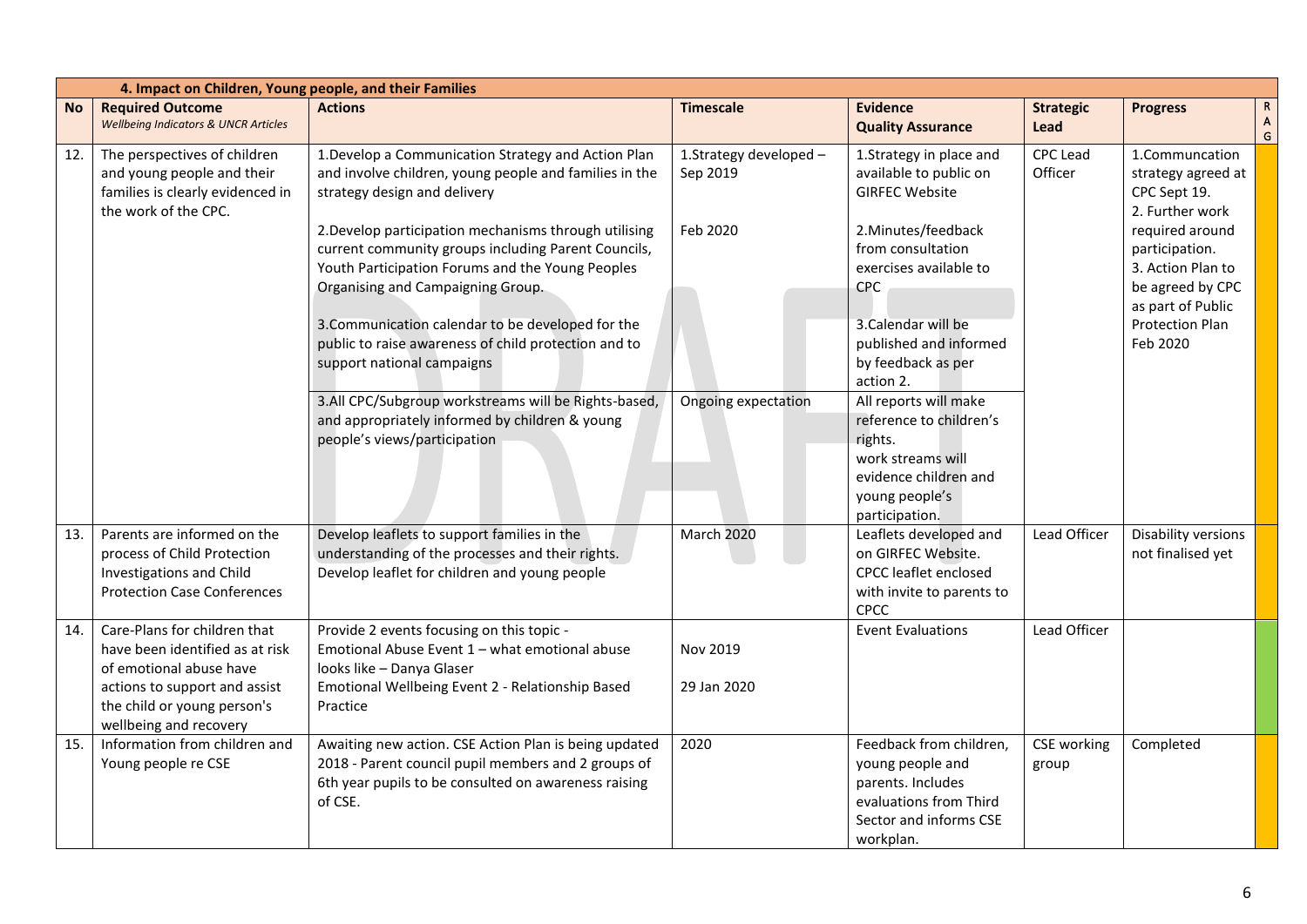|           | 4. Impact on Children, Young people, and their Families                                                                                                                              |                                                                                                                                                                                                       |                                    |                                                                                                                                               |                             |                                                                                                 |                        |
|-----------|--------------------------------------------------------------------------------------------------------------------------------------------------------------------------------------|-------------------------------------------------------------------------------------------------------------------------------------------------------------------------------------------------------|------------------------------------|-----------------------------------------------------------------------------------------------------------------------------------------------|-----------------------------|-------------------------------------------------------------------------------------------------|------------------------|
| <b>No</b> | <b>Required Outcome</b><br><b>Wellbeing Indicators &amp; UNCR Articles</b>                                                                                                           | <b>Actions</b>                                                                                                                                                                                        | <b>Timescale</b>                   | <b>Evidence</b><br><b>Quality Assurance</b>                                                                                                   | <b>Strategic</b><br>Lead    | <b>Progress</b>                                                                                 | $\mathsf{R}$<br>A<br>G |
| 12.       | The perspectives of children<br>and young people and their<br>families is clearly evidenced in<br>the work of the CPC.                                                               | 1. Develop a Communication Strategy and Action Plan<br>and involve children, young people and families in the<br>strategy design and delivery                                                         | 1.Strategy developed -<br>Sep 2019 | 1.Strategy in place and<br>available to public on<br><b>GIRFEC Website</b>                                                                    | <b>CPC Lead</b><br>Officer  | 1.Communcation<br>strategy agreed at<br>CPC Sept 19.<br>2. Further work                         |                        |
|           |                                                                                                                                                                                      | 2. Develop participation mechanisms through utilising<br>current community groups including Parent Councils,<br>Youth Participation Forums and the Young Peoples<br>Organising and Campaigning Group. | Feb 2020                           | 2. Minutes/feedback<br>from consultation<br>exercises available to<br>CPC                                                                     |                             | required around<br>participation.<br>3. Action Plan to<br>be agreed by CPC<br>as part of Public |                        |
|           |                                                                                                                                                                                      | 3. Communication calendar to be developed for the<br>public to raise awareness of child protection and to<br>support national campaigns                                                               |                                    | 3. Calendar will be<br>published and informed<br>by feedback as per<br>action 2.                                                              |                             | Protection Plan<br>Feb 2020                                                                     |                        |
|           |                                                                                                                                                                                      | 3.All CPC/Subgroup workstreams will be Rights-based,<br>and appropriately informed by children & young<br>people's views/participation                                                                | Ongoing expectation                | All reports will make<br>reference to children's<br>rights.<br>work streams will<br>evidence children and<br>young people's<br>participation. |                             |                                                                                                 |                        |
| 13.       | Parents are informed on the<br>process of Child Protection<br>Investigations and Child<br><b>Protection Case Conferences</b>                                                         | Develop leaflets to support families in the<br>understanding of the processes and their rights.<br>Develop leaflet for children and young people                                                      | March 2020                         | Leaflets developed and<br>on GIRFEC Website.<br><b>CPCC</b> leaflet enclosed<br>with invite to parents to<br>CPCC                             | Lead Officer                | Disability versions<br>not finalised yet                                                        |                        |
| 14.       | Care-Plans for children that<br>have been identified as at risk<br>of emotional abuse have<br>actions to support and assist<br>the child or young person's<br>wellbeing and recovery | Provide 2 events focusing on this topic -<br>Emotional Abuse Event 1 - what emotional abuse<br>looks like - Danya Glaser<br>Emotional Wellbeing Event 2 - Relationship Based<br>Practice              | Nov 2019<br>29 Jan 2020            | <b>Event Evaluations</b>                                                                                                                      | Lead Officer                |                                                                                                 |                        |
| 15.       | Information from children and<br>Young people re CSE                                                                                                                                 | Awaiting new action. CSE Action Plan is being updated<br>2018 - Parent council pupil members and 2 groups of<br>6th year pupils to be consulted on awareness raising<br>of CSE.                       | 2020                               | Feedback from children,<br>young people and<br>parents. Includes<br>evaluations from Third<br>Sector and informs CSE<br>workplan.             | <b>CSE</b> working<br>group | Completed                                                                                       |                        |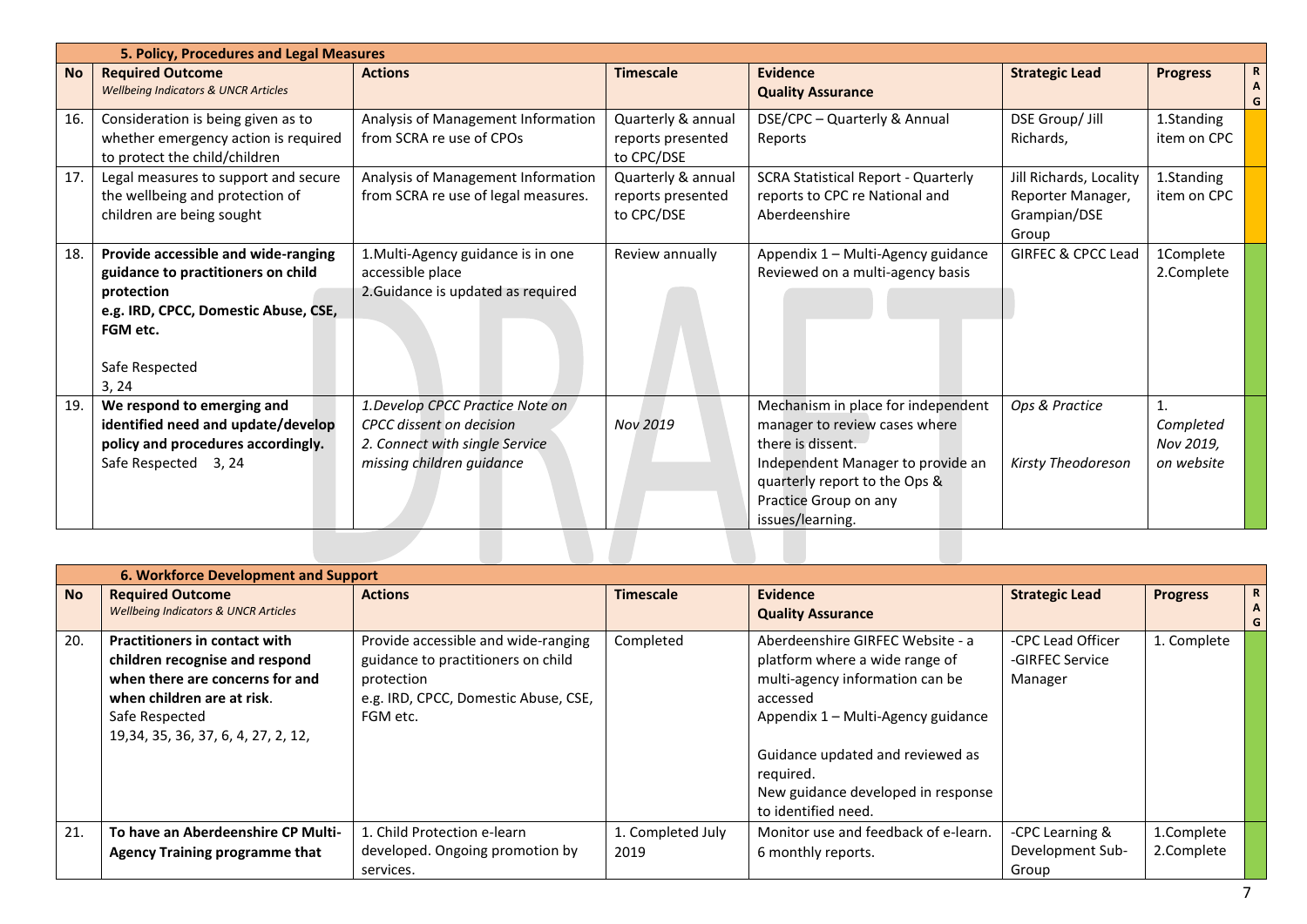|           | 5. Policy, Procedures and Legal Measures                                                                                                                               |                                                                                                                             |                                                       |                                                                                                                                                                                                             |                                                                       |                                            |
|-----------|------------------------------------------------------------------------------------------------------------------------------------------------------------------------|-----------------------------------------------------------------------------------------------------------------------------|-------------------------------------------------------|-------------------------------------------------------------------------------------------------------------------------------------------------------------------------------------------------------------|-----------------------------------------------------------------------|--------------------------------------------|
| <b>No</b> | <b>Required Outcome</b><br><b>Wellbeing Indicators &amp; UNCR Articles</b>                                                                                             | <b>Actions</b>                                                                                                              | <b>Timescale</b>                                      | Evidence<br><b>Quality Assurance</b>                                                                                                                                                                        | <b>Strategic Lead</b>                                                 | R<br><b>Progress</b><br>Α<br>G             |
| 16.       | Consideration is being given as to<br>whether emergency action is required<br>to protect the child/children                                                            | Analysis of Management Information<br>from SCRA re use of CPOs                                                              | Quarterly & annual<br>reports presented<br>to CPC/DSE | DSE/CPC - Quarterly & Annual<br>Reports                                                                                                                                                                     | DSE Group/ Jill<br>Richards,                                          | 1.Standing<br>item on CPC                  |
| 17.       | Legal measures to support and secure<br>the wellbeing and protection of<br>children are being sought                                                                   | Analysis of Management Information<br>from SCRA re use of legal measures.                                                   | Quarterly & annual<br>reports presented<br>to CPC/DSE | <b>SCRA Statistical Report - Quarterly</b><br>reports to CPC re National and<br>Aberdeenshire                                                                                                               | Jill Richards, Locality<br>Reporter Manager,<br>Grampian/DSE<br>Group | 1.Standing<br>item on CPC                  |
| 18.       | Provide accessible and wide-ranging<br>guidance to practitioners on child<br>protection<br>e.g. IRD, CPCC, Domestic Abuse, CSE,<br>FGM etc.<br>Safe Respected<br>3, 24 | 1. Multi-Agency guidance is in one<br>accessible place<br>2. Guidance is updated as required                                | Review annually                                       | Appendix 1 - Multi-Agency guidance<br>Reviewed on a multi-agency basis                                                                                                                                      | <b>GIRFEC &amp; CPCC Lead</b>                                         | 1Complete<br>2.Complete                    |
| 19.       | We respond to emerging and<br>identified need and update/develop<br>policy and procedures accordingly.<br>Safe Respected 3, 24                                         | 1. Develop CPCC Practice Note on<br>CPCC dissent on decision<br>2. Connect with single Service<br>missing children guidance | Nov 2019                                              | Mechanism in place for independent<br>manager to review cases where<br>there is dissent.<br>Independent Manager to provide an<br>quarterly report to the Ops &<br>Practice Group on any<br>issues/learning. | Ops & Practice<br><b>Kirsty Theodoreson</b>                           | 1.<br>Completed<br>Nov 2019,<br>on website |
|           |                                                                                                                                                                        |                                                                                                                             |                                                       |                                                                                                                                                                                                             |                                                                       |                                            |

|           | 6. Workforce Development and Support                                                                                                                                                              |                                                                                                                                             |                   |                                                                                                                                                                                                                                                                       |                                                 |                 |                       |
|-----------|---------------------------------------------------------------------------------------------------------------------------------------------------------------------------------------------------|---------------------------------------------------------------------------------------------------------------------------------------------|-------------------|-----------------------------------------------------------------------------------------------------------------------------------------------------------------------------------------------------------------------------------------------------------------------|-------------------------------------------------|-----------------|-----------------------|
| <b>No</b> | <b>Required Outcome</b><br><b>Wellbeing Indicators &amp; UNCR Articles</b>                                                                                                                        | <b>Actions</b>                                                                                                                              | <b>Timescale</b>  | <b>Evidence</b><br><b>Quality Assurance</b>                                                                                                                                                                                                                           | <b>Strategic Lead</b>                           | <b>Progress</b> | $\mathbf R$<br>A<br>G |
| 20.       | <b>Practitioners in contact with</b><br>children recognise and respond<br>when there are concerns for and<br>when children are at risk.<br>Safe Respected<br>19, 34, 35, 36, 37, 6, 4, 27, 2, 12, | Provide accessible and wide-ranging<br>guidance to practitioners on child<br>protection<br>e.g. IRD, CPCC, Domestic Abuse, CSE,<br>FGM etc. | Completed         | Aberdeenshire GIRFEC Website - a<br>platform where a wide range of<br>multi-agency information can be<br>accessed<br>Appendix 1 - Multi-Agency guidance<br>Guidance updated and reviewed as<br>reguired.<br>New guidance developed in response<br>to identified need. | -CPC Lead Officer<br>-GIRFEC Service<br>Manager | 1. Complete     |                       |
| 21.       | To have an Aberdeenshire CP Multi-                                                                                                                                                                | 1. Child Protection e-learn                                                                                                                 | 1. Completed July | Monitor use and feedback of e-learn.                                                                                                                                                                                                                                  | -CPC Learning &                                 | 1.Complete      |                       |
|           | <b>Agency Training programme that</b>                                                                                                                                                             | developed. Ongoing promotion by<br>services.                                                                                                | 2019              | 6 monthly reports.                                                                                                                                                                                                                                                    | Development Sub-<br>Group                       | 2.Complete      |                       |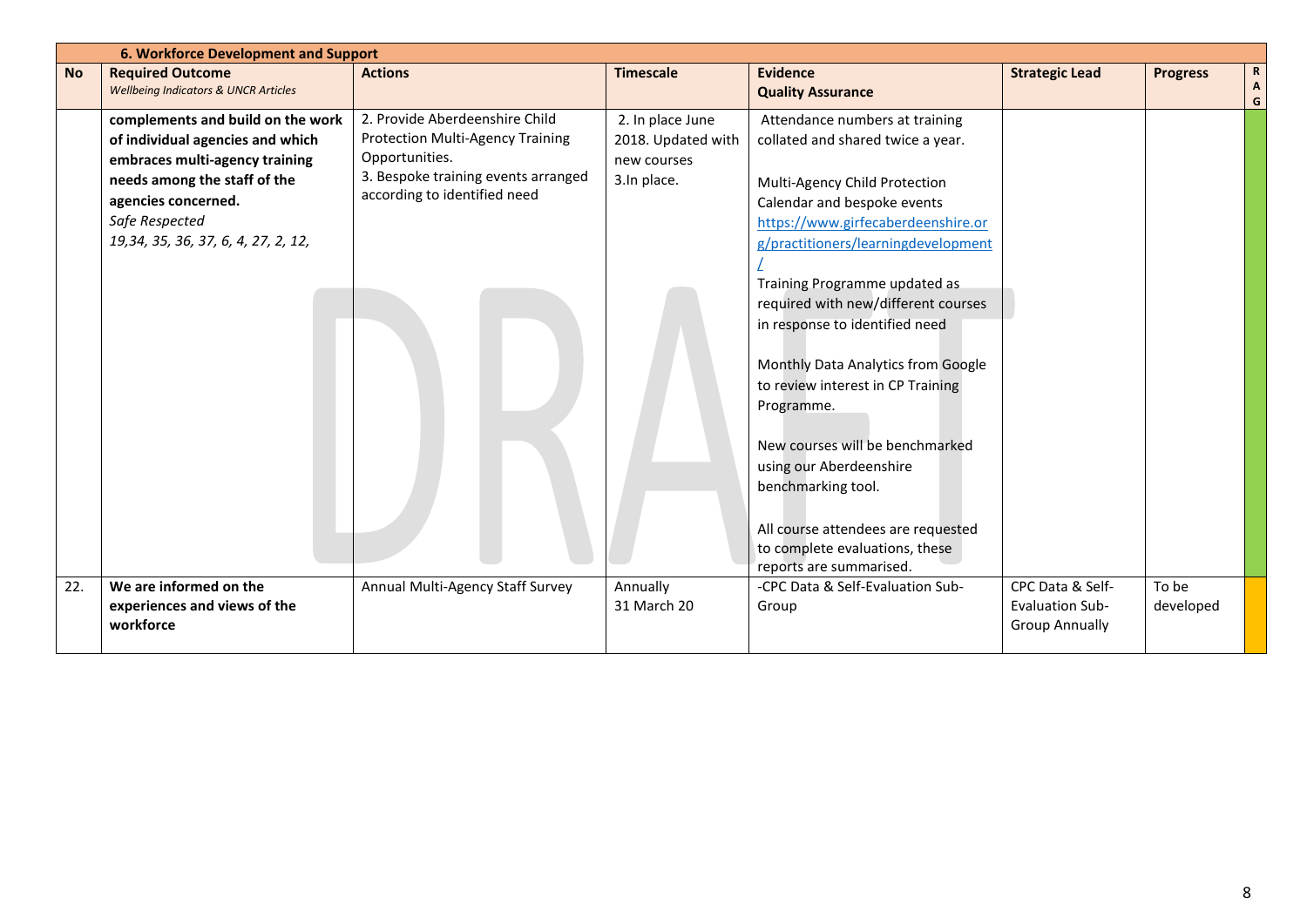|           |                                                 |                                     |                    | 6. Workforce Development and Support                                                                                                                                                                                                                                         |                                                 |                 |                                |  |  |  |  |
|-----------|-------------------------------------------------|-------------------------------------|--------------------|------------------------------------------------------------------------------------------------------------------------------------------------------------------------------------------------------------------------------------------------------------------------------|-------------------------------------------------|-----------------|--------------------------------|--|--|--|--|
| <b>No</b> | <b>Required Outcome</b>                         | <b>Actions</b>                      | <b>Timescale</b>   | <b>Evidence</b>                                                                                                                                                                                                                                                              | <b>Strategic Lead</b>                           | <b>Progress</b> | $\mathbf R$                    |  |  |  |  |
|           | <b>Wellbeing Indicators &amp; UNCR Articles</b> |                                     |                    | <b>Quality Assurance</b>                                                                                                                                                                                                                                                     |                                                 |                 | $\boldsymbol{\mathsf{A}}$<br>G |  |  |  |  |
|           | complements and build on the work               | 2. Provide Aberdeenshire Child      | 2. In place June   | Attendance numbers at training                                                                                                                                                                                                                                               |                                                 |                 |                                |  |  |  |  |
|           | of individual agencies and which                | Protection Multi-Agency Training    | 2018. Updated with | collated and shared twice a year.                                                                                                                                                                                                                                            |                                                 |                 |                                |  |  |  |  |
|           | embraces multi-agency training                  | Opportunities.                      | new courses        |                                                                                                                                                                                                                                                                              |                                                 |                 |                                |  |  |  |  |
|           | needs among the staff of the                    | 3. Bespoke training events arranged | 3.In place.        | Multi-Agency Child Protection                                                                                                                                                                                                                                                |                                                 |                 |                                |  |  |  |  |
|           | agencies concerned.                             | according to identified need        |                    | Calendar and bespoke events                                                                                                                                                                                                                                                  |                                                 |                 |                                |  |  |  |  |
|           | Safe Respected                                  |                                     |                    | https://www.girfecaberdeenshire.or                                                                                                                                                                                                                                           |                                                 |                 |                                |  |  |  |  |
|           | 19, 34, 35, 36, 37, 6, 4, 27, 2, 12,            |                                     |                    | g/practitioners/learningdevelopment                                                                                                                                                                                                                                          |                                                 |                 |                                |  |  |  |  |
|           |                                                 |                                     |                    |                                                                                                                                                                                                                                                                              |                                                 |                 |                                |  |  |  |  |
|           |                                                 |                                     |                    | Training Programme updated as                                                                                                                                                                                                                                                |                                                 |                 |                                |  |  |  |  |
|           |                                                 |                                     |                    | required with new/different courses                                                                                                                                                                                                                                          |                                                 |                 |                                |  |  |  |  |
|           |                                                 |                                     |                    | in response to identified need                                                                                                                                                                                                                                               |                                                 |                 |                                |  |  |  |  |
|           |                                                 |                                     |                    | Monthly Data Analytics from Google<br>to review interest in CP Training<br>Programme.<br>New courses will be benchmarked<br>using our Aberdeenshire<br>benchmarking tool.<br>All course attendees are requested<br>to complete evaluations, these<br>reports are summarised. |                                                 |                 |                                |  |  |  |  |
| 22.       | We are informed on the                          | Annual Multi-Agency Staff Survey    | Annually           | -CPC Data & Self-Evaluation Sub-                                                                                                                                                                                                                                             | CPC Data & Self-                                | To be           |                                |  |  |  |  |
|           | experiences and views of the<br>workforce       |                                     | 31 March 20        | Group                                                                                                                                                                                                                                                                        | <b>Evaluation Sub-</b><br><b>Group Annually</b> | developed       |                                |  |  |  |  |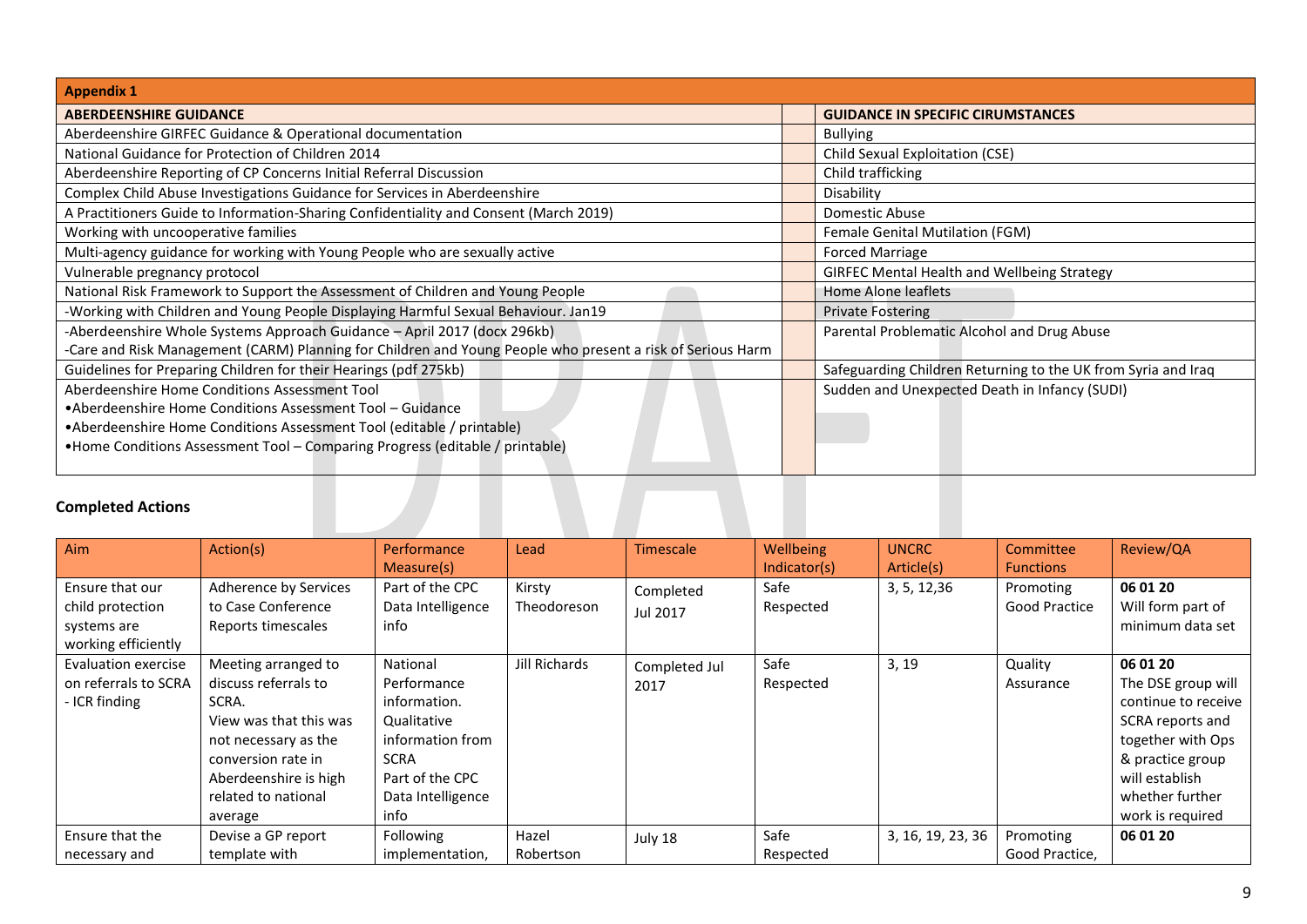| <b>Appendix 1</b>                                                                                          |                                                               |
|------------------------------------------------------------------------------------------------------------|---------------------------------------------------------------|
| <b>ABERDEENSHIRE GUIDANCE</b>                                                                              | <b>GUIDANCE IN SPECIFIC CIRUMSTANCES</b>                      |
| Aberdeenshire GIRFEC Guidance & Operational documentation                                                  | <b>Bullying</b>                                               |
| National Guidance for Protection of Children 2014                                                          | Child Sexual Exploitation (CSE)                               |
| Aberdeenshire Reporting of CP Concerns Initial Referral Discussion                                         | Child trafficking                                             |
| Complex Child Abuse Investigations Guidance for Services in Aberdeenshire                                  | Disability                                                    |
| A Practitioners Guide to Information-Sharing Confidentiality and Consent (March 2019)                      | Domestic Abuse                                                |
| Working with uncooperative families                                                                        | Female Genital Mutilation (FGM)                               |
| Multi-agency guidance for working with Young People who are sexually active                                | <b>Forced Marriage</b>                                        |
| Vulnerable pregnancy protocol                                                                              | <b>GIRFEC Mental Health and Wellbeing Strategy</b>            |
| National Risk Framework to Support the Assessment of Children and Young People                             | Home Alone leaflets                                           |
| -Working with Children and Young People Displaying Harmful Sexual Behaviour. Jan19                         | <b>Private Fostering</b>                                      |
| -Aberdeenshire Whole Systems Approach Guidance - April 2017 (docx 296kb)                                   | Parental Problematic Alcohol and Drug Abuse                   |
| -Care and Risk Management (CARM) Planning for Children and Young People who present a risk of Serious Harm |                                                               |
| Guidelines for Preparing Children for their Hearings (pdf 275kb)                                           | Safeguarding Children Returning to the UK from Syria and Iraq |
| Aberdeenshire Home Conditions Assessment Tool                                                              | Sudden and Unexpected Death in Infancy (SUDI)                 |
| •Aberdeenshire Home Conditions Assessment Tool – Guidance                                                  |                                                               |
| •Aberdeenshire Home Conditions Assessment Tool (editable / printable)                                      |                                                               |
| •Home Conditions Assessment Tool - Comparing Progress (editable / printable)                               |                                                               |

## **Completed Actions**

| <b>Completed Actions</b>                                                  |                                                                                                                                                                                         |                                                                                                                                           |                       |                       |                                   |                            |                                                |                                                                                                                                                                             |
|---------------------------------------------------------------------------|-----------------------------------------------------------------------------------------------------------------------------------------------------------------------------------------|-------------------------------------------------------------------------------------------------------------------------------------------|-----------------------|-----------------------|-----------------------------------|----------------------------|------------------------------------------------|-----------------------------------------------------------------------------------------------------------------------------------------------------------------------------|
| Aim                                                                       | Action(s)                                                                                                                                                                               | <b>Performance</b>                                                                                                                        | Lead                  | <b>Timescale</b>      | Wellbeing                         | <b>UNCRC</b>               | Committee                                      | Review/QA                                                                                                                                                                   |
| Ensure that our<br>child protection<br>systems are<br>working efficiently | Adherence by Services<br>to Case Conference<br>Reports timescales                                                                                                                       | Measure(s)<br>Part of the CPC<br>Data Intelligence<br>info                                                                                | Kirsty<br>Theodoreson | Completed<br>Jul 2017 | Indicator(s)<br>Safe<br>Respected | Article(s)<br>3, 5, 12, 36 | <b>Functions</b><br>Promoting<br>Good Practice | 06 01 20<br>Will form part of<br>minimum data set                                                                                                                           |
| Evaluation exercise<br>on referrals to SCRA<br>- ICR finding              | Meeting arranged to<br>discuss referrals to<br>SCRA.<br>View was that this was<br>not necessary as the<br>conversion rate in<br>Aberdeenshire is high<br>related to national<br>average | National<br>Performance<br>information.<br>Qualitative<br>information from<br><b>SCRA</b><br>Part of the CPC<br>Data Intelligence<br>info | Jill Richards         | Completed Jul<br>2017 | Safe<br>Respected                 | 3, 19                      | Quality<br>Assurance                           | 06 01 20<br>The DSE group will<br>continue to receive<br>SCRA reports and<br>together with Ops<br>& practice group<br>will establish<br>whether further<br>work is required |
| Ensure that the<br>necessary and                                          | Devise a GP report<br>template with                                                                                                                                                     | <b>Following</b><br>implementation,                                                                                                       | Hazel<br>Robertson    | July 18               | Safe<br>Respected                 | 3, 16, 19, 23, 36          | Promoting<br>Good Practice,                    | 06 01 20                                                                                                                                                                    |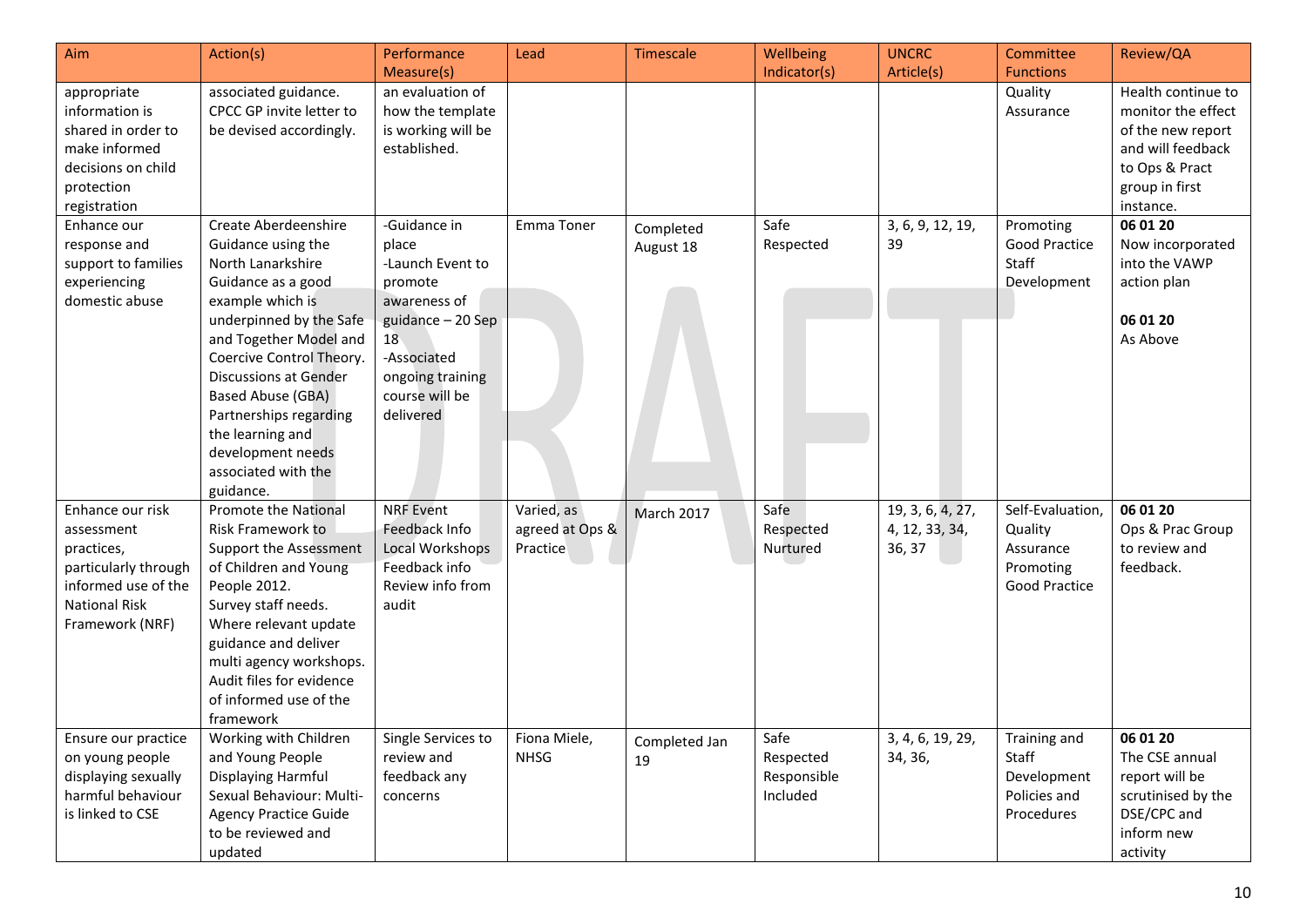| Aim                                                                                                                                    | Action(s)                                                                                                                                                                                                                                                                                                                                                     | Performance<br>Measure(s)                                                                                                                                         | Lead                                      | Timescale              | <b>Wellbeing</b><br>Indicator(s)             | <b>UNCRC</b><br>Article(s)                   | Committee<br><b>Functions</b>                                                 | Review/QA                                                                                                                           |
|----------------------------------------------------------------------------------------------------------------------------------------|---------------------------------------------------------------------------------------------------------------------------------------------------------------------------------------------------------------------------------------------------------------------------------------------------------------------------------------------------------------|-------------------------------------------------------------------------------------------------------------------------------------------------------------------|-------------------------------------------|------------------------|----------------------------------------------|----------------------------------------------|-------------------------------------------------------------------------------|-------------------------------------------------------------------------------------------------------------------------------------|
| appropriate<br>information is<br>shared in order to<br>make informed<br>decisions on child<br>protection<br>registration               | associated guidance.<br>CPCC GP invite letter to<br>be devised accordingly.                                                                                                                                                                                                                                                                                   | an evaluation of<br>how the template<br>is working will be<br>established.                                                                                        |                                           |                        |                                              |                                              | Quality<br>Assurance                                                          | Health continue to<br>monitor the effect<br>of the new report<br>and will feedback<br>to Ops & Pract<br>group in first<br>instance. |
| Enhance our<br>response and<br>support to families<br>experiencing<br>domestic abuse                                                   | Create Aberdeenshire<br>Guidance using the<br>North Lanarkshire<br>Guidance as a good<br>example which is<br>underpinned by the Safe<br>and Together Model and<br>Coercive Control Theory.<br><b>Discussions at Gender</b><br><b>Based Abuse (GBA)</b><br>Partnerships regarding<br>the learning and<br>development needs<br>associated with the<br>guidance. | -Guidance in<br>place<br>-Launch Event to<br>promote<br>awareness of<br>guidance - 20 Sep<br>18<br>-Associated<br>ongoing training<br>course will be<br>delivered | Emma Toner                                | Completed<br>August 18 | Safe<br>Respected                            | 3, 6, 9, 12, 19,<br>39                       | Promoting<br>Good Practice<br>Staff<br>Development                            | 06 01 20<br>Now incorporated<br>into the VAWP<br>action plan<br>06 01 20<br>As Above                                                |
| Enhance our risk<br>assessment<br>practices,<br>particularly through<br>informed use of the<br><b>National Risk</b><br>Framework (NRF) | <b>Promote the National</b><br>Risk Framework to<br><b>Support the Assessment</b><br>of Children and Young<br>People 2012.<br>Survey staff needs.<br>Where relevant update<br>guidance and deliver<br>multi agency workshops.<br>Audit files for evidence<br>of informed use of the<br>framework                                                              | <b>NRF</b> Event<br>Feedback Info<br>Local Workshops<br>Feedback info<br>Review info from<br>audit                                                                | Varied, as<br>agreed at Ops &<br>Practice | <b>March 2017</b>      | Safe<br>Respected<br>Nurtured                | 19, 3, 6, 4, 27,<br>4, 12, 33, 34,<br>36, 37 | Self-Evaluation,<br>Quality<br>Assurance<br>Promoting<br><b>Good Practice</b> | 06 01 20<br>Ops & Prac Group<br>to review and<br>feedback.                                                                          |
| Ensure our practice<br>on young people<br>displaying sexually<br>harmful behaviour<br>is linked to CSE                                 | Working with Children<br>and Young People<br>Displaying Harmful<br>Sexual Behaviour: Multi-<br><b>Agency Practice Guide</b><br>to be reviewed and<br>updated                                                                                                                                                                                                  | Single Services to<br>review and<br>feedback any<br>concerns                                                                                                      | Fiona Miele,<br><b>NHSG</b>               | Completed Jan<br>19    | Safe<br>Respected<br>Responsible<br>Included | 3, 4, 6, 19, 29,<br>34, 36,                  | Training and<br>Staff<br>Development<br>Policies and<br>Procedures            | 06 01 20<br>The CSE annual<br>report will be<br>scrutinised by the<br>DSE/CPC and<br>inform new<br>activity                         |